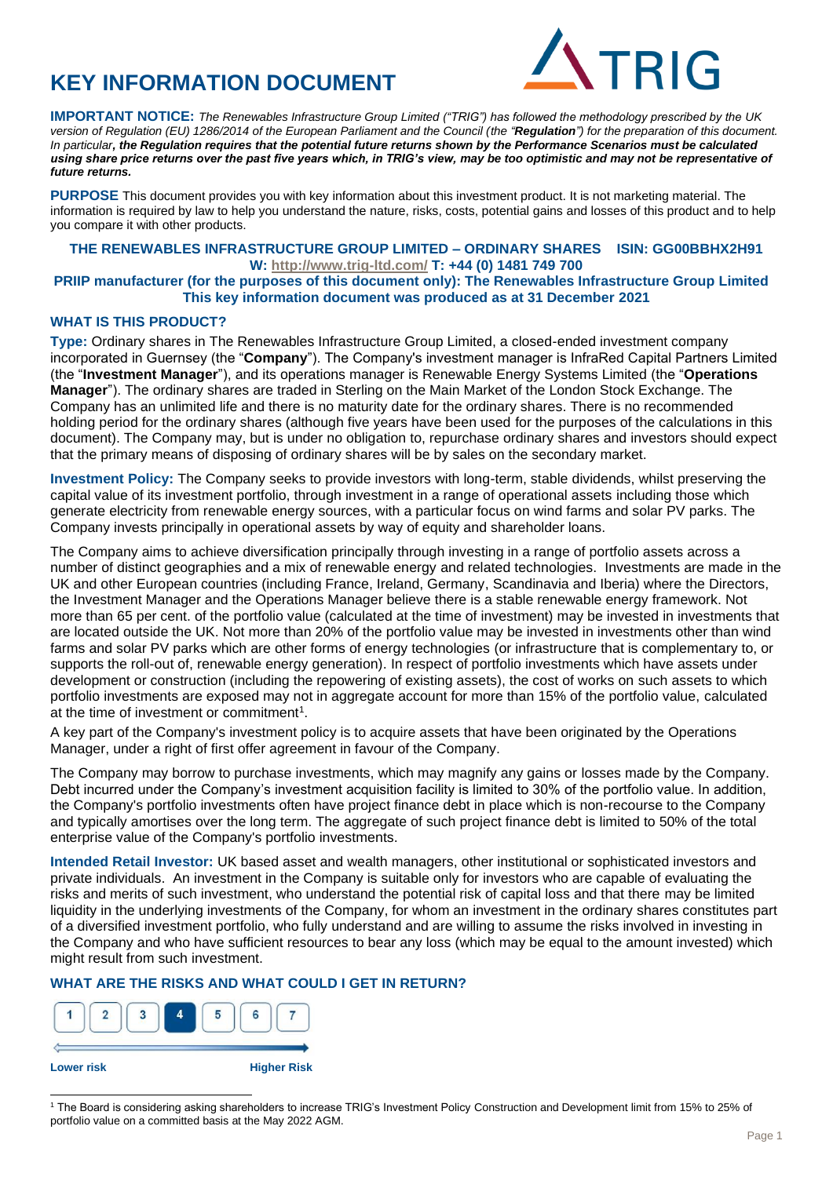# **KEY INFORMATION DOCUMENT**



**IMPORTANT NOTICE:** *The Renewables Infrastructure Group Limited ("TRIG") has followed the methodology prescribed by the UK version of Regulation (EU) 1286/2014 of the European Parliament and the Council (the "Regulation") for the preparation of this document. In particular, the Regulation requires that the potential future returns shown by the Performance Scenarios must be calculated using share price returns over the past five years which, in TRIG's view, may be too optimistic and may not be representative of future returns.*

**PURPOSE** This document provides you with key information about this investment product. It is not marketing material. The information is required by law to help you understand the nature, risks, costs, potential gains and losses of this product and to help you compare it with other products.

### **THE RENEWABLES INFRASTRUCTURE GROUP LIMITED – ORDINARY SHARES ISIN: GG00BBHX2H91 W: <http://www.trig-ltd.com/> T: +44 (0) 1481 749 700**

#### **PRIIP manufacturer (for the purposes of this document only): The Renewables Infrastructure Group Limited This key information document was produced as at 31 December 2021**

### **WHAT IS THIS PRODUCT?**

**Type:** Ordinary shares in The Renewables Infrastructure Group Limited, a closed-ended investment company incorporated in Guernsey (the "**Company**"). The Company's investment manager is InfraRed Capital Partners Limited (the "**Investment Manager**"), and its operations manager is Renewable Energy Systems Limited (the "**Operations Manager**"). The ordinary shares are traded in Sterling on the Main Market of the London Stock Exchange. The Company has an unlimited life and there is no maturity date for the ordinary shares. There is no recommended holding period for the ordinary shares (although five years have been used for the purposes of the calculations in this document). The Company may, but is under no obligation to, repurchase ordinary shares and investors should expect that the primary means of disposing of ordinary shares will be by sales on the secondary market.

**Investment Policy:** The Company seeks to provide investors with long-term, stable dividends, whilst preserving the capital value of its investment portfolio, through investment in a range of operational assets including those which generate electricity from renewable energy sources, with a particular focus on wind farms and solar PV parks. The Company invests principally in operational assets by way of equity and shareholder loans.

The Company aims to achieve diversification principally through investing in a range of portfolio assets across a number of distinct geographies and a mix of renewable energy and related technologies. Investments are made in the UK and other European countries (including France, Ireland, Germany, Scandinavia and Iberia) where the Directors, the Investment Manager and the Operations Manager believe there is a stable renewable energy framework. Not more than 65 per cent. of the portfolio value (calculated at the time of investment) may be invested in investments that are located outside the UK. Not more than 20% of the portfolio value may be invested in investments other than wind farms and solar PV parks which are other forms of energy technologies (or infrastructure that is complementary to, or supports the roll-out of, renewable energy generation). In respect of portfolio investments which have assets under development or construction (including the repowering of existing assets), the cost of works on such assets to which portfolio investments are exposed may not in aggregate account for more than 15% of the portfolio value, calculated at the time of investment or commitment<sup>1</sup>.

A key part of the Company's investment policy is to acquire assets that have been originated by the Operations Manager, under a right of first offer agreement in favour of the Company.

The Company may borrow to purchase investments, which may magnify any gains or losses made by the Company. Debt incurred under the Company's investment acquisition facility is limited to 30% of the portfolio value. In addition, the Company's portfolio investments often have project finance debt in place which is non-recourse to the Company and typically amortises over the long term. The aggregate of such project finance debt is limited to 50% of the total enterprise value of the Company's portfolio investments.

**Intended Retail Investor:** UK based asset and wealth managers, other institutional or sophisticated investors and private individuals. An investment in the Company is suitable only for investors who are capable of evaluating the risks and merits of such investment, who understand the potential risk of capital loss and that there may be limited liquidity in the underlying investments of the Company, for whom an investment in the ordinary shares constitutes part of a diversified investment portfolio, who fully understand and are willing to assume the risks involved in investing in the Company and who have sufficient resources to bear any loss (which may be equal to the amount invested) which might result from such investment.

# **WHAT ARE THE RISKS AND WHAT COULD I GET IN RETURN?**



<sup>1</sup> The Board is considering asking shareholders to increase TRIG's Investment Policy Construction and Development limit from 15% to 25% of portfolio value on a committed basis at the May 2022 AGM.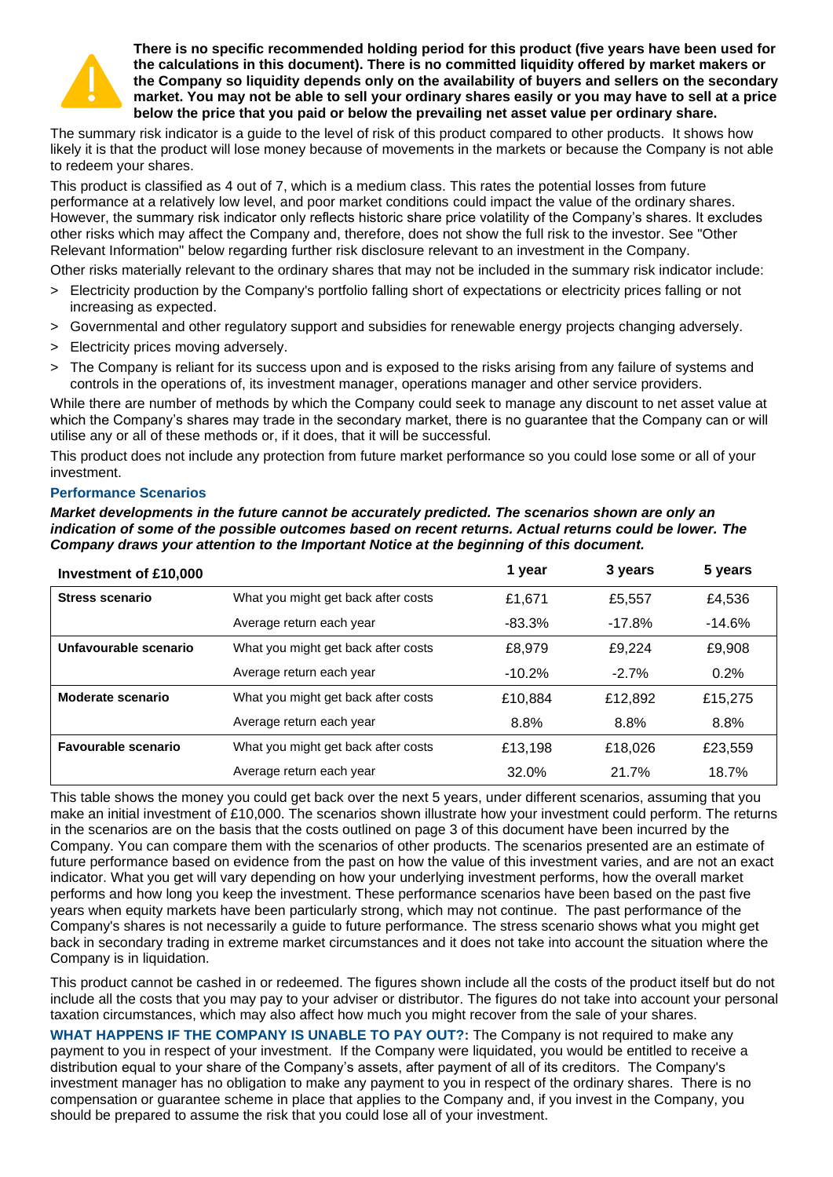

**There is no specific recommended holding period for this product (five years have been used for the calculations in this document). There is no committed liquidity offered by market makers or the Company so liquidity depends only on the availability of buyers and sellers on the secondary market. You may not be able to sell your ordinary shares easily or you may have to sell at a price below the price that you paid or below the prevailing net asset value per ordinary share.**

The summary risk indicator is a guide to the level of risk of this product compared to other products. It shows how likely it is that the product will lose money because of movements in the markets or because the Company is not able to redeem your shares.

This product is classified as 4 out of 7, which is a medium class. This rates the potential losses from future performance at a relatively low level, and poor market conditions could impact the value of the ordinary shares. However, the summary risk indicator only reflects historic share price volatility of the Company's shares. It excludes other risks which may affect the Company and, therefore, does not show the full risk to the investor. See "Other Relevant Information" below regarding further risk disclosure relevant to an investment in the Company.

Other risks materially relevant to the ordinary shares that may not be included in the summary risk indicator include:

- > Electricity production by the Company's portfolio falling short of expectations or electricity prices falling or not increasing as expected.
- > Governmental and other regulatory support and subsidies for renewable energy projects changing adversely.
- > Electricity prices moving adversely.
- > The Company is reliant for its success upon and is exposed to the risks arising from any failure of systems and controls in the operations of, its investment manager, operations manager and other service providers.

While there are number of methods by which the Company could seek to manage any discount to net asset value at which the Company's shares may trade in the secondary market, there is no guarantee that the Company can or will utilise any or all of these methods or, if it does, that it will be successful.

This product does not include any protection from future market performance so you could lose some or all of your investment.

#### **Performance Scenarios**

*Market developments in the future cannot be accurately predicted. The scenarios shown are only an indication of some of the possible outcomes based on recent returns. Actual returns could be lower. The Company draws your attention to the Important Notice at the beginning of this document.*

| Investment of £10,000      |                                     | 1 year   | 3 years  | 5 years  |
|----------------------------|-------------------------------------|----------|----------|----------|
| Stress scenario            | What you might get back after costs | £1.671   | £5,557   | £4,536   |
|                            | Average return each year            | $-83.3%$ | $-17.8%$ | $-14.6%$ |
| Unfavourable scenario      | What you might get back after costs | £8.979   | £9.224   | £9,908   |
|                            | Average return each year            | $-10.2%$ | $-2.7%$  | 0.2%     |
| Moderate scenario          | What you might get back after costs | £10,884  | £12,892  | £15,275  |
|                            | Average return each year            | 8.8%     | 8.8%     | 8.8%     |
| <b>Favourable scenario</b> | What you might get back after costs | £13,198  | £18,026  | £23,559  |
|                            | Average return each year            | 32.0%    | 21.7%    | 18.7%    |

This table shows the money you could get back over the next 5 years, under different scenarios, assuming that you make an initial investment of £10,000. The scenarios shown illustrate how your investment could perform. The returns in the scenarios are on the basis that the costs outlined on page 3 of this document have been incurred by the Company. You can compare them with the scenarios of other products. The scenarios presented are an estimate of future performance based on evidence from the past on how the value of this investment varies, and are not an exact indicator. What you get will vary depending on how your underlying investment performs, how the overall market performs and how long you keep the investment. These performance scenarios have been based on the past five years when equity markets have been particularly strong, which may not continue. The past performance of the Company's shares is not necessarily a guide to future performance. The stress scenario shows what you might get back in secondary trading in extreme market circumstances and it does not take into account the situation where the Company is in liquidation.

This product cannot be cashed in or redeemed. The figures shown include all the costs of the product itself but do not include all the costs that you may pay to your adviser or distributor. The figures do not take into account your personal taxation circumstances, which may also affect how much you might recover from the sale of your shares.

**WHAT HAPPENS IF THE COMPANY IS UNABLE TO PAY OUT?:** The Company is not required to make any payment to you in respect of your investment. If the Company were liquidated, you would be entitled to receive a distribution equal to your share of the Company's assets, after payment of all of its creditors. The Company's investment manager has no obligation to make any payment to you in respect of the ordinary shares. There is no compensation or guarantee scheme in place that applies to the Company and, if you invest in the Company, you should be prepared to assume the risk that you could lose all of your investment.